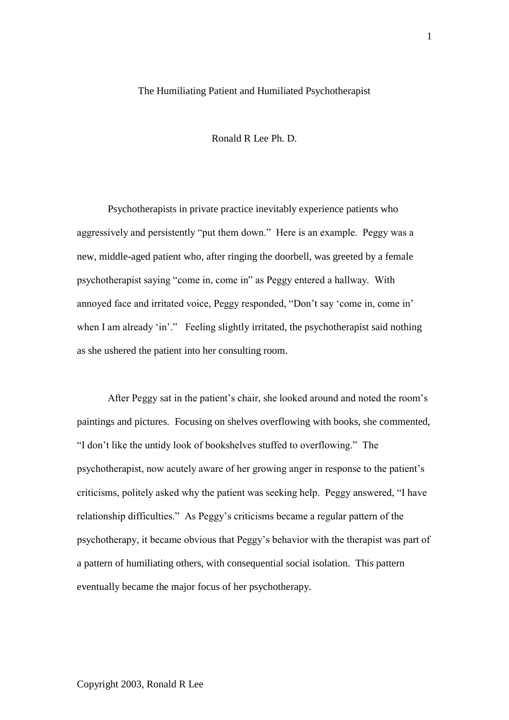## The Humiliating Patient and Humiliated Psychotherapist

Ronald R Lee Ph. D.

Psychotherapists in private practice inevitably experience patients who aggressively and persistently "put them down." Here is an example. Peggy was a new, middle-aged patient who, after ringing the doorbell, was greeted by a female psychotherapist saying "come in, come in" as Peggy entered a hallway. With annoyed face and irritated voice, Peggy responded, "Don't say 'come in, come in' when I am already 'in'." Feeling slightly irritated, the psychotherapist said nothing as she ushered the patient into her consulting room.

After Peggy sat in the patient"s chair, she looked around and noted the room"s paintings and pictures. Focusing on shelves overflowing with books, she commented, "I don"t like the untidy look of bookshelves stuffed to overflowing." The psychotherapist, now acutely aware of her growing anger in response to the patient"s criticisms, politely asked why the patient was seeking help. Peggy answered, "I have relationship difficulties." As Peggy"s criticisms became a regular pattern of the psychotherapy, it became obvious that Peggy"s behavior with the therapist was part of a pattern of humiliating others, with consequential social isolation. This pattern eventually became the major focus of her psychotherapy.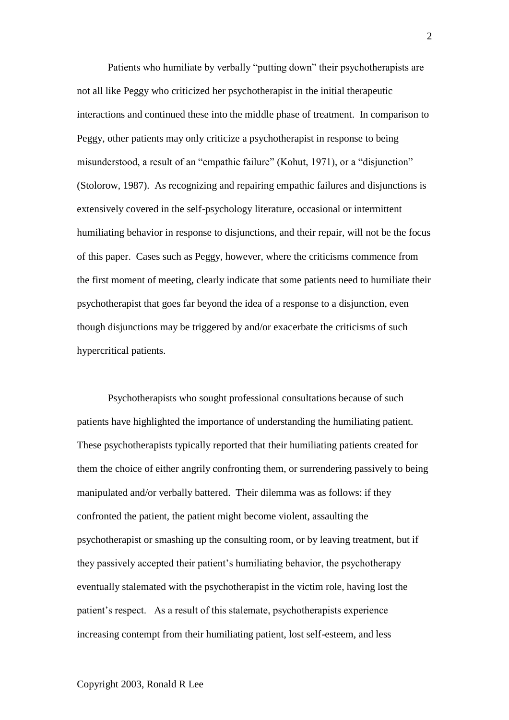Patients who humiliate by verbally "putting down" their psychotherapists are not all like Peggy who criticized her psychotherapist in the initial therapeutic interactions and continued these into the middle phase of treatment. In comparison to Peggy, other patients may only criticize a psychotherapist in response to being misunderstood, a result of an "empathic failure" (Kohut, 1971), or a "disjunction" (Stolorow, 1987). As recognizing and repairing empathic failures and disjunctions is extensively covered in the self-psychology literature, occasional or intermittent humiliating behavior in response to disjunctions, and their repair, will not be the focus of this paper. Cases such as Peggy, however, where the criticisms commence from the first moment of meeting, clearly indicate that some patients need to humiliate their psychotherapist that goes far beyond the idea of a response to a disjunction, even though disjunctions may be triggered by and/or exacerbate the criticisms of such hypercritical patients.

Psychotherapists who sought professional consultations because of such patients have highlighted the importance of understanding the humiliating patient. These psychotherapists typically reported that their humiliating patients created for them the choice of either angrily confronting them, or surrendering passively to being manipulated and/or verbally battered. Their dilemma was as follows: if they confronted the patient, the patient might become violent, assaulting the psychotherapist or smashing up the consulting room, or by leaving treatment, but if they passively accepted their patient"s humiliating behavior, the psychotherapy eventually stalemated with the psychotherapist in the victim role, having lost the patient's respect. As a result of this stalemate, psychotherapists experience increasing contempt from their humiliating patient, lost self-esteem, and less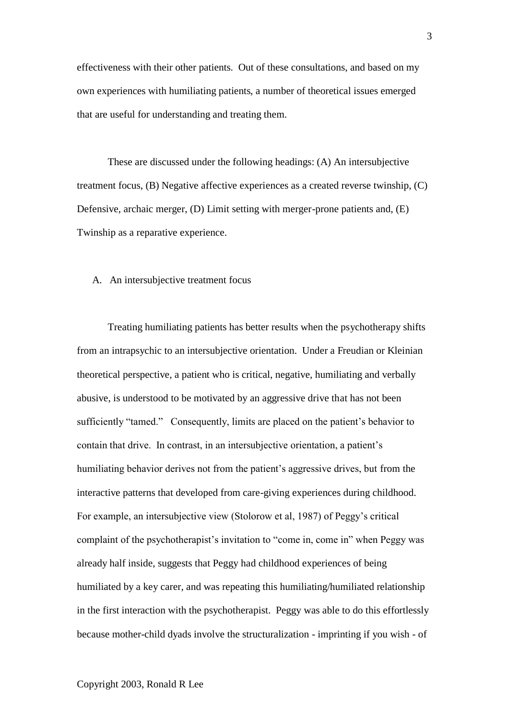effectiveness with their other patients. Out of these consultations, and based on my own experiences with humiliating patients, a number of theoretical issues emerged that are useful for understanding and treating them.

These are discussed under the following headings: (A) An intersubjective treatment focus, (B) Negative affective experiences as a created reverse twinship, (C) Defensive, archaic merger, (D) Limit setting with merger-prone patients and, (E) Twinship as a reparative experience.

## A. An intersubjective treatment focus

Treating humiliating patients has better results when the psychotherapy shifts from an intrapsychic to an intersubjective orientation. Under a Freudian or Kleinian theoretical perspective, a patient who is critical, negative, humiliating and verbally abusive, is understood to be motivated by an aggressive drive that has not been sufficiently "tamed." Consequently, limits are placed on the patient's behavior to contain that drive. In contrast, in an intersubjective orientation, a patient"s humiliating behavior derives not from the patient's aggressive drives, but from the interactive patterns that developed from care-giving experiences during childhood. For example, an intersubjective view (Stolorow et al, 1987) of Peggy's critical complaint of the psychotherapist's invitation to "come in, come in" when Peggy was already half inside, suggests that Peggy had childhood experiences of being humiliated by a key carer, and was repeating this humiliating/humiliated relationship in the first interaction with the psychotherapist. Peggy was able to do this effortlessly because mother-child dyads involve the structuralization - imprinting if you wish - of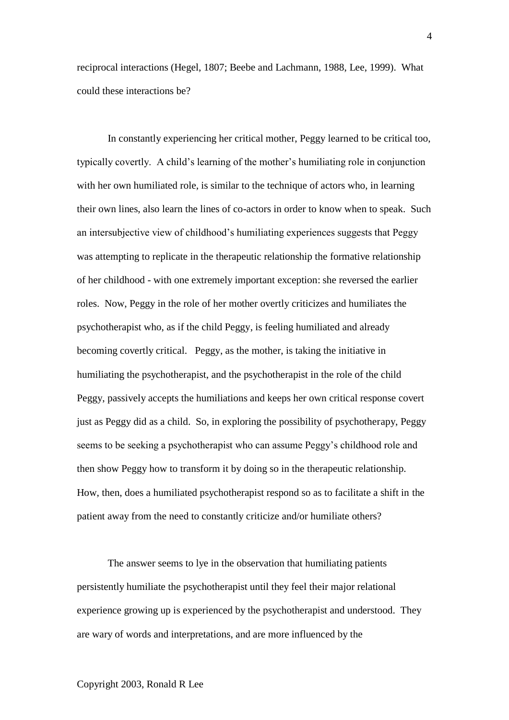reciprocal interactions (Hegel, 1807; Beebe and Lachmann, 1988, Lee, 1999). What could these interactions be?

In constantly experiencing her critical mother, Peggy learned to be critical too, typically covertly. A child"s learning of the mother"s humiliating role in conjunction with her own humiliated role, is similar to the technique of actors who, in learning their own lines, also learn the lines of co-actors in order to know when to speak. Such an intersubjective view of childhood"s humiliating experiences suggests that Peggy was attempting to replicate in the therapeutic relationship the formative relationship of her childhood - with one extremely important exception: she reversed the earlier roles. Now, Peggy in the role of her mother overtly criticizes and humiliates the psychotherapist who, as if the child Peggy, is feeling humiliated and already becoming covertly critical. Peggy, as the mother, is taking the initiative in humiliating the psychotherapist, and the psychotherapist in the role of the child Peggy, passively accepts the humiliations and keeps her own critical response covert just as Peggy did as a child. So, in exploring the possibility of psychotherapy, Peggy seems to be seeking a psychotherapist who can assume Peggy"s childhood role and then show Peggy how to transform it by doing so in the therapeutic relationship. How, then, does a humiliated psychotherapist respond so as to facilitate a shift in the patient away from the need to constantly criticize and/or humiliate others?

The answer seems to lye in the observation that humiliating patients persistently humiliate the psychotherapist until they feel their major relational experience growing up is experienced by the psychotherapist and understood. They are wary of words and interpretations, and are more influenced by the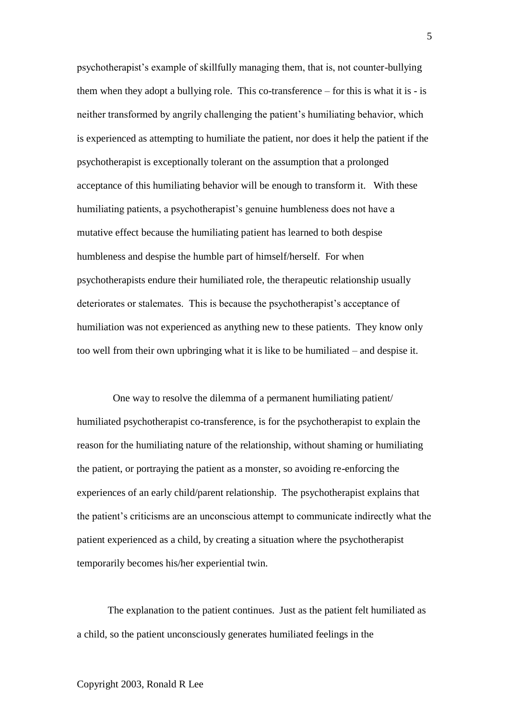psychotherapist"s example of skillfully managing them, that is, not counter-bullying them when they adopt a bullying role. This co-transference – for this is what it is - is neither transformed by angrily challenging the patient's humiliating behavior, which is experienced as attempting to humiliate the patient, nor does it help the patient if the psychotherapist is exceptionally tolerant on the assumption that a prolonged acceptance of this humiliating behavior will be enough to transform it. With these humiliating patients, a psychotherapist's genuine humbleness does not have a mutative effect because the humiliating patient has learned to both despise humbleness and despise the humble part of himself/herself. For when psychotherapists endure their humiliated role, the therapeutic relationship usually deteriorates or stalemates. This is because the psychotherapist's acceptance of humiliation was not experienced as anything new to these patients. They know only too well from their own upbringing what it is like to be humiliated – and despise it.

 One way to resolve the dilemma of a permanent humiliating patient/ humiliated psychotherapist co-transference, is for the psychotherapist to explain the reason for the humiliating nature of the relationship, without shaming or humiliating the patient, or portraying the patient as a monster, so avoiding re-enforcing the experiences of an early child/parent relationship. The psychotherapist explains that the patient"s criticisms are an unconscious attempt to communicate indirectly what the patient experienced as a child, by creating a situation where the psychotherapist temporarily becomes his/her experiential twin.

The explanation to the patient continues. Just as the patient felt humiliated as a child, so the patient unconsciously generates humiliated feelings in the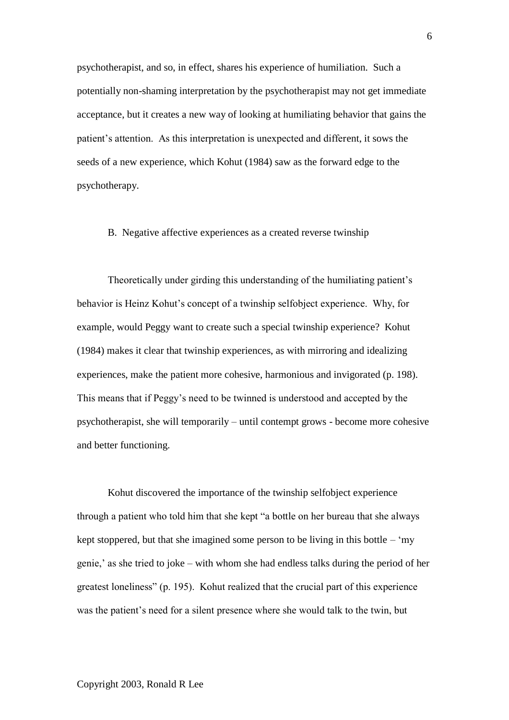psychotherapist, and so, in effect, shares his experience of humiliation. Such a potentially non-shaming interpretation by the psychotherapist may not get immediate acceptance, but it creates a new way of looking at humiliating behavior that gains the patient's attention. As this interpretation is unexpected and different, it sows the seeds of a new experience, which Kohut (1984) saw as the forward edge to the psychotherapy.

## B. Negative affective experiences as a created reverse twinship

Theoretically under girding this understanding of the humiliating patient"s behavior is Heinz Kohut's concept of a twinship selfobject experience. Why, for example, would Peggy want to create such a special twinship experience? Kohut (1984) makes it clear that twinship experiences, as with mirroring and idealizing experiences, make the patient more cohesive, harmonious and invigorated (p. 198). This means that if Peggy"s need to be twinned is understood and accepted by the psychotherapist, she will temporarily – until contempt grows - become more cohesive and better functioning.

Kohut discovered the importance of the twinship selfobject experience through a patient who told him that she kept "a bottle on her bureau that she always kept stoppered, but that she imagined some person to be living in this bottle – "my" genie," as she tried to joke – with whom she had endless talks during the period of her greatest loneliness" (p. 195). Kohut realized that the crucial part of this experience was the patient's need for a silent presence where she would talk to the twin, but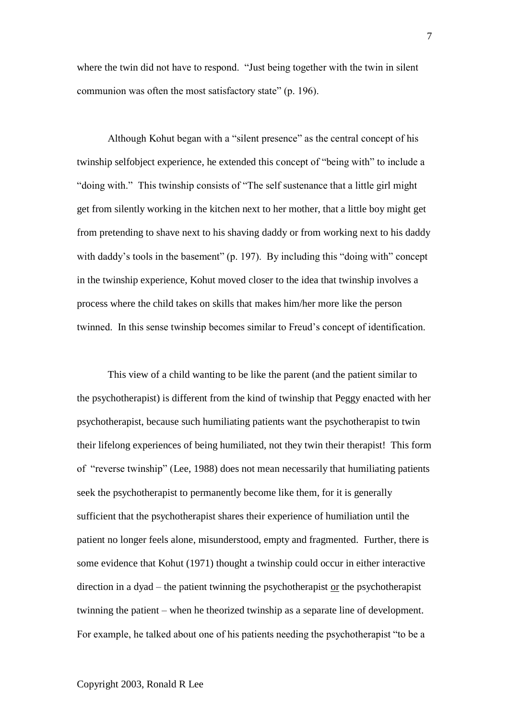where the twin did not have to respond. "Just being together with the twin in silent communion was often the most satisfactory state" (p. 196).

Although Kohut began with a "silent presence" as the central concept of his twinship selfobject experience, he extended this concept of "being with" to include a "doing with." This twinship consists of "The self sustenance that a little girl might get from silently working in the kitchen next to her mother, that a little boy might get from pretending to shave next to his shaving daddy or from working next to his daddy with daddy's tools in the basement" (p. 197). By including this "doing with" concept in the twinship experience, Kohut moved closer to the idea that twinship involves a process where the child takes on skills that makes him/her more like the person twinned. In this sense twinship becomes similar to Freud"s concept of identification.

This view of a child wanting to be like the parent (and the patient similar to the psychotherapist) is different from the kind of twinship that Peggy enacted with her psychotherapist, because such humiliating patients want the psychotherapist to twin their lifelong experiences of being humiliated, not they twin their therapist! This form of "reverse twinship" (Lee, 1988) does not mean necessarily that humiliating patients seek the psychotherapist to permanently become like them, for it is generally sufficient that the psychotherapist shares their experience of humiliation until the patient no longer feels alone, misunderstood, empty and fragmented. Further, there is some evidence that Kohut (1971) thought a twinship could occur in either interactive direction in a dyad – the patient twinning the psychotherapist or the psychotherapist twinning the patient – when he theorized twinship as a separate line of development. For example, he talked about one of his patients needing the psychotherapist "to be a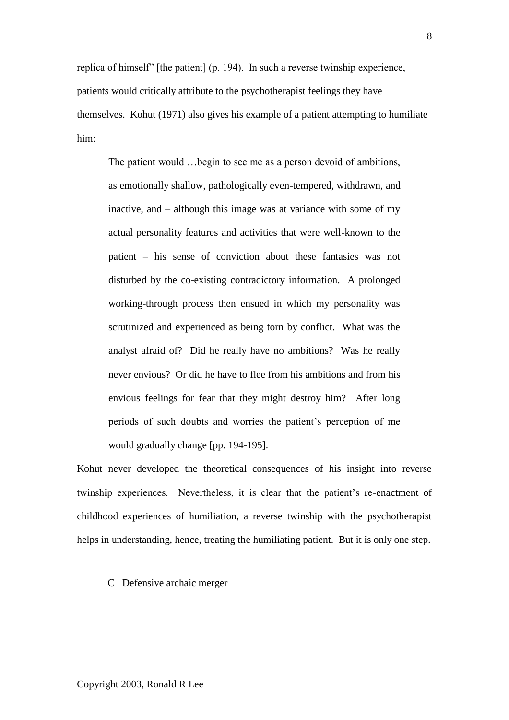replica of himself" [the patient] (p. 194). In such a reverse twinship experience, patients would critically attribute to the psychotherapist feelings they have themselves. Kohut (1971) also gives his example of a patient attempting to humiliate him:

The patient would …begin to see me as a person devoid of ambitions, as emotionally shallow, pathologically even-tempered, withdrawn, and inactive, and – although this image was at variance with some of my actual personality features and activities that were well-known to the patient – his sense of conviction about these fantasies was not disturbed by the co-existing contradictory information. A prolonged working-through process then ensued in which my personality was scrutinized and experienced as being torn by conflict. What was the analyst afraid of? Did he really have no ambitions? Was he really never envious? Or did he have to flee from his ambitions and from his envious feelings for fear that they might destroy him? After long periods of such doubts and worries the patient"s perception of me would gradually change [pp. 194-195].

Kohut never developed the theoretical consequences of his insight into reverse twinship experiences. Nevertheless, it is clear that the patient"s re-enactment of childhood experiences of humiliation, a reverse twinship with the psychotherapist helps in understanding, hence, treating the humiliating patient. But it is only one step.

C Defensive archaic merger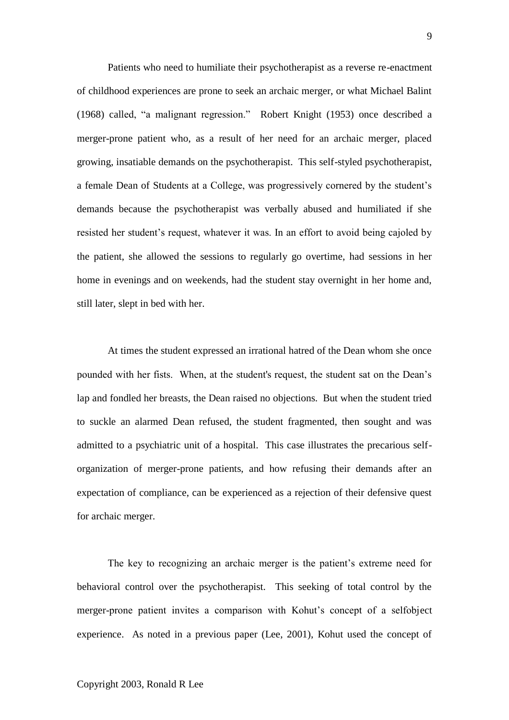Patients who need to humiliate their psychotherapist as a reverse re-enactment of childhood experiences are prone to seek an archaic merger, or what Michael Balint (1968) called, "a malignant regression." Robert Knight (1953) once described a merger-prone patient who, as a result of her need for an archaic merger, placed growing, insatiable demands on the psychotherapist. This self-styled psychotherapist, a female Dean of Students at a College, was progressively cornered by the student"s demands because the psychotherapist was verbally abused and humiliated if she resisted her student's request, whatever it was. In an effort to avoid being cajoled by the patient, she allowed the sessions to regularly go overtime, had sessions in her home in evenings and on weekends, had the student stay overnight in her home and, still later, slept in bed with her.

At times the student expressed an irrational hatred of the Dean whom she once pounded with her fists. When, at the student's request, the student sat on the Dean"s lap and fondled her breasts, the Dean raised no objections. But when the student tried to suckle an alarmed Dean refused, the student fragmented, then sought and was admitted to a psychiatric unit of a hospital. This case illustrates the precarious selforganization of merger-prone patients, and how refusing their demands after an expectation of compliance, can be experienced as a rejection of their defensive quest for archaic merger.

The key to recognizing an archaic merger is the patient's extreme need for behavioral control over the psychotherapist. This seeking of total control by the merger-prone patient invites a comparison with Kohut"s concept of a selfobject experience. As noted in a previous paper (Lee, 2001), Kohut used the concept of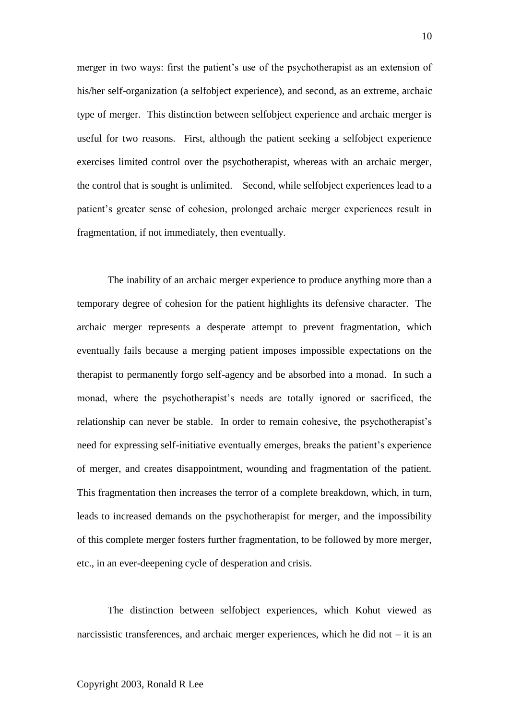merger in two ways: first the patient's use of the psychotherapist as an extension of his/her self-organization (a selfobject experience), and second, as an extreme, archaic type of merger. This distinction between selfobject experience and archaic merger is useful for two reasons. First, although the patient seeking a selfobject experience exercises limited control over the psychotherapist, whereas with an archaic merger, the control that is sought is unlimited. Second, while selfobject experiences lead to a patient"s greater sense of cohesion, prolonged archaic merger experiences result in fragmentation, if not immediately, then eventually.

The inability of an archaic merger experience to produce anything more than a temporary degree of cohesion for the patient highlights its defensive character. The archaic merger represents a desperate attempt to prevent fragmentation, which eventually fails because a merging patient imposes impossible expectations on the therapist to permanently forgo self-agency and be absorbed into a monad. In such a monad, where the psychotherapist"s needs are totally ignored or sacrificed, the relationship can never be stable. In order to remain cohesive, the psychotherapist's need for expressing self-initiative eventually emerges, breaks the patient's experience of merger, and creates disappointment, wounding and fragmentation of the patient. This fragmentation then increases the terror of a complete breakdown, which, in turn, leads to increased demands on the psychotherapist for merger, and the impossibility of this complete merger fosters further fragmentation, to be followed by more merger, etc., in an ever-deepening cycle of desperation and crisis.

The distinction between selfobject experiences, which Kohut viewed as narcissistic transferences, and archaic merger experiences, which he did not – it is an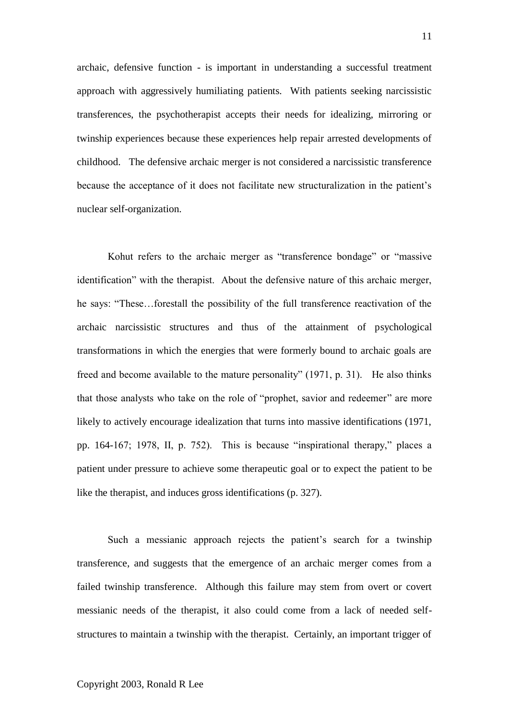archaic, defensive function - is important in understanding a successful treatment approach with aggressively humiliating patients. With patients seeking narcissistic transferences, the psychotherapist accepts their needs for idealizing, mirroring or twinship experiences because these experiences help repair arrested developments of childhood. The defensive archaic merger is not considered a narcissistic transference because the acceptance of it does not facilitate new structuralization in the patient"s nuclear self-organization.

Kohut refers to the archaic merger as "transference bondage" or "massive identification" with the therapist. About the defensive nature of this archaic merger, he says: "These…forestall the possibility of the full transference reactivation of the archaic narcissistic structures and thus of the attainment of psychological transformations in which the energies that were formerly bound to archaic goals are freed and become available to the mature personality" (1971, p. 31). He also thinks that those analysts who take on the role of "prophet, savior and redeemer" are more likely to actively encourage idealization that turns into massive identifications (1971, pp. 164-167; 1978, II, p. 752). This is because "inspirational therapy," places a patient under pressure to achieve some therapeutic goal or to expect the patient to be like the therapist, and induces gross identifications (p. 327).

Such a messianic approach rejects the patient's search for a twinship transference, and suggests that the emergence of an archaic merger comes from a failed twinship transference. Although this failure may stem from overt or covert messianic needs of the therapist, it also could come from a lack of needed selfstructures to maintain a twinship with the therapist. Certainly, an important trigger of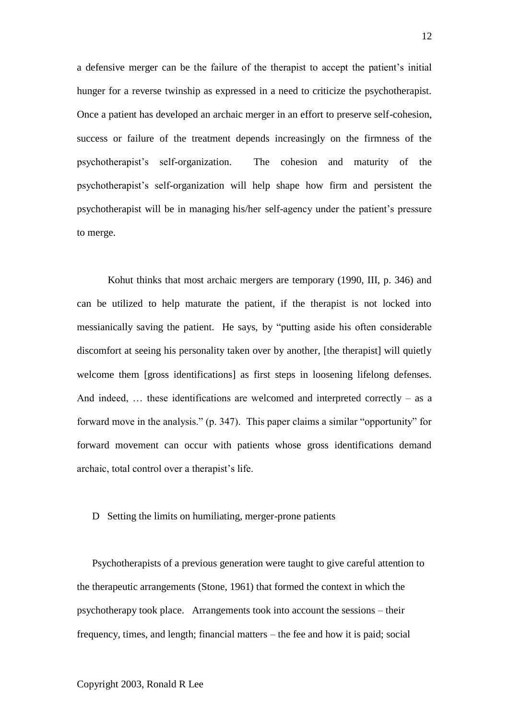a defensive merger can be the failure of the therapist to accept the patient"s initial hunger for a reverse twinship as expressed in a need to criticize the psychotherapist. Once a patient has developed an archaic merger in an effort to preserve self-cohesion, success or failure of the treatment depends increasingly on the firmness of the psychotherapist"s self-organization. The cohesion and maturity of the psychotherapist"s self-organization will help shape how firm and persistent the psychotherapist will be in managing his/her self-agency under the patient"s pressure to merge.

Kohut thinks that most archaic mergers are temporary (1990, III, p. 346) and can be utilized to help maturate the patient, if the therapist is not locked into messianically saving the patient. He says, by "putting aside his often considerable discomfort at seeing his personality taken over by another, [the therapist] will quietly welcome them [gross identifications] as first steps in loosening lifelong defenses. And indeed,  $\ldots$  these identifications are welcomed and interpreted correctly – as a forward move in the analysis." (p. 347). This paper claims a similar "opportunity" for forward movement can occur with patients whose gross identifications demand archaic, total control over a therapist"s life.

### D Setting the limits on humiliating, merger-prone patients

Psychotherapists of a previous generation were taught to give careful attention to the therapeutic arrangements (Stone, 1961) that formed the context in which the psychotherapy took place. Arrangements took into account the sessions – their frequency, times, and length; financial matters – the fee and how it is paid; social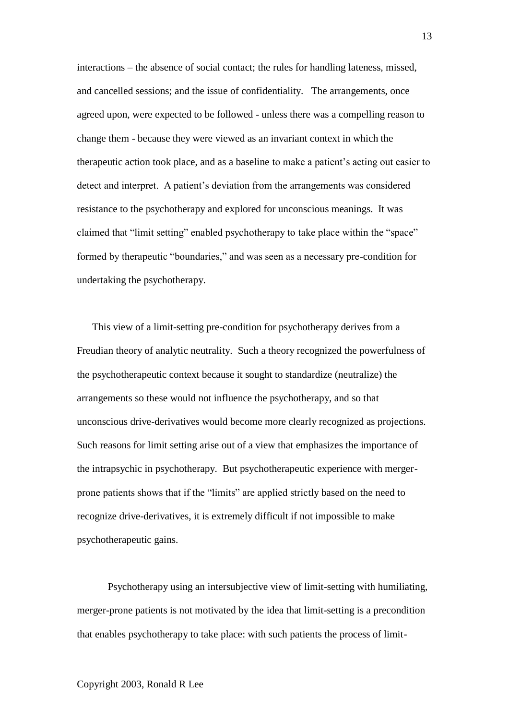interactions – the absence of social contact; the rules for handling lateness, missed, and cancelled sessions; and the issue of confidentiality. The arrangements, once agreed upon, were expected to be followed - unless there was a compelling reason to change them - because they were viewed as an invariant context in which the therapeutic action took place, and as a baseline to make a patient"s acting out easier to detect and interpret. A patient's deviation from the arrangements was considered resistance to the psychotherapy and explored for unconscious meanings. It was claimed that "limit setting" enabled psychotherapy to take place within the "space" formed by therapeutic "boundaries," and was seen as a necessary pre-condition for undertaking the psychotherapy.

This view of a limit-setting pre-condition for psychotherapy derives from a Freudian theory of analytic neutrality. Such a theory recognized the powerfulness of the psychotherapeutic context because it sought to standardize (neutralize) the arrangements so these would not influence the psychotherapy, and so that unconscious drive-derivatives would become more clearly recognized as projections. Such reasons for limit setting arise out of a view that emphasizes the importance of the intrapsychic in psychotherapy. But psychotherapeutic experience with mergerprone patients shows that if the "limits" are applied strictly based on the need to recognize drive-derivatives, it is extremely difficult if not impossible to make psychotherapeutic gains.

Psychotherapy using an intersubjective view of limit-setting with humiliating, merger-prone patients is not motivated by the idea that limit-setting is a precondition that enables psychotherapy to take place: with such patients the process of limit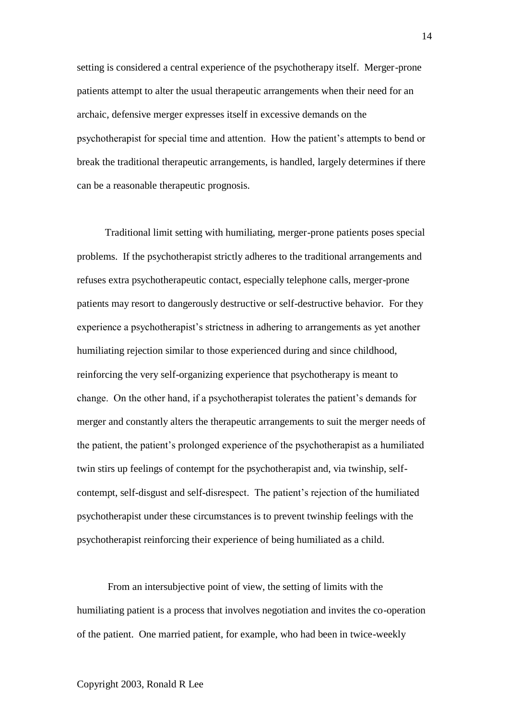setting is considered a central experience of the psychotherapy itself. Merger-prone patients attempt to alter the usual therapeutic arrangements when their need for an archaic, defensive merger expresses itself in excessive demands on the psychotherapist for special time and attention. How the patient"s attempts to bend or break the traditional therapeutic arrangements, is handled, largely determines if there can be a reasonable therapeutic prognosis.

 Traditional limit setting with humiliating, merger-prone patients poses special problems. If the psychotherapist strictly adheres to the traditional arrangements and refuses extra psychotherapeutic contact, especially telephone calls, merger-prone patients may resort to dangerously destructive or self-destructive behavior. For they experience a psychotherapist"s strictness in adhering to arrangements as yet another humiliating rejection similar to those experienced during and since childhood, reinforcing the very self-organizing experience that psychotherapy is meant to change. On the other hand, if a psychotherapist tolerates the patient"s demands for merger and constantly alters the therapeutic arrangements to suit the merger needs of the patient, the patient"s prolonged experience of the psychotherapist as a humiliated twin stirs up feelings of contempt for the psychotherapist and, via twinship, selfcontempt, self-disgust and self-disrespect. The patient"s rejection of the humiliated psychotherapist under these circumstances is to prevent twinship feelings with the psychotherapist reinforcing their experience of being humiliated as a child.

From an intersubjective point of view, the setting of limits with the humiliating patient is a process that involves negotiation and invites the co-operation of the patient. One married patient, for example, who had been in twice-weekly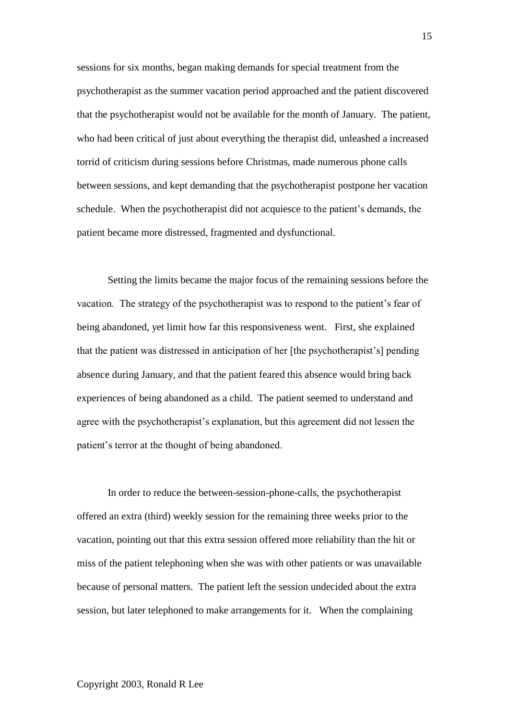sessions for six months, began making demands for special treatment from the psychotherapist as the summer vacation period approached and the patient discovered that the psychotherapist would not be available for the month of January. The patient, who had been critical of just about everything the therapist did, unleashed a increased torrid of criticism during sessions before Christmas, made numerous phone calls between sessions, and kept demanding that the psychotherapist postpone her vacation schedule. When the psychotherapist did not acquiesce to the patient"s demands, the patient became more distressed, fragmented and dysfunctional.

Setting the limits became the major focus of the remaining sessions before the vacation. The strategy of the psychotherapist was to respond to the patient"s fear of being abandoned, yet limit how far this responsiveness went. First, she explained that the patient was distressed in anticipation of her [the psychotherapist"s] pending absence during January, and that the patient feared this absence would bring back experiences of being abandoned as a child. The patient seemed to understand and agree with the psychotherapist's explanation, but this agreement did not lessen the patient"s terror at the thought of being abandoned.

In order to reduce the between-session-phone-calls, the psychotherapist offered an extra (third) weekly session for the remaining three weeks prior to the vacation, pointing out that this extra session offered more reliability than the hit or miss of the patient telephoning when she was with other patients or was unavailable because of personal matters. The patient left the session undecided about the extra session, but later telephoned to make arrangements for it. When the complaining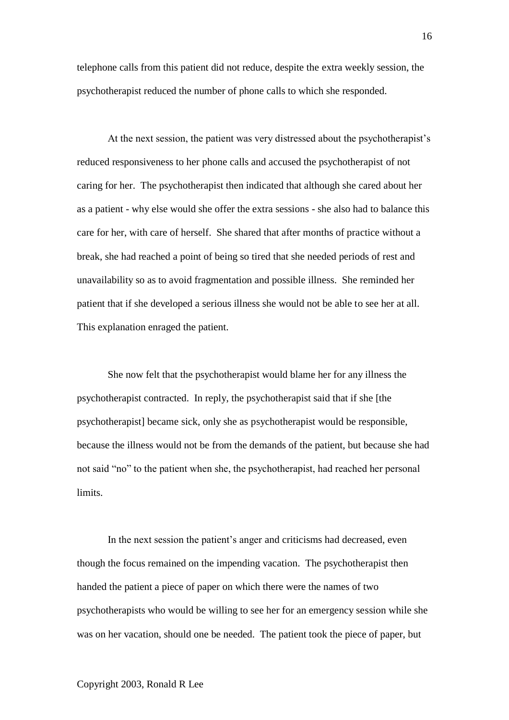telephone calls from this patient did not reduce, despite the extra weekly session, the psychotherapist reduced the number of phone calls to which she responded.

At the next session, the patient was very distressed about the psychotherapist"s reduced responsiveness to her phone calls and accused the psychotherapist of not caring for her. The psychotherapist then indicated that although she cared about her as a patient - why else would she offer the extra sessions - she also had to balance this care for her, with care of herself. She shared that after months of practice without a break, she had reached a point of being so tired that she needed periods of rest and unavailability so as to avoid fragmentation and possible illness. She reminded her patient that if she developed a serious illness she would not be able to see her at all. This explanation enraged the patient.

She now felt that the psychotherapist would blame her for any illness the psychotherapist contracted. In reply, the psychotherapist said that if she [the psychotherapist] became sick, only she as psychotherapist would be responsible, because the illness would not be from the demands of the patient, but because she had not said "no" to the patient when she, the psychotherapist, had reached her personal limits.

In the next session the patient's anger and criticisms had decreased, even though the focus remained on the impending vacation. The psychotherapist then handed the patient a piece of paper on which there were the names of two psychotherapists who would be willing to see her for an emergency session while she was on her vacation, should one be needed. The patient took the piece of paper, but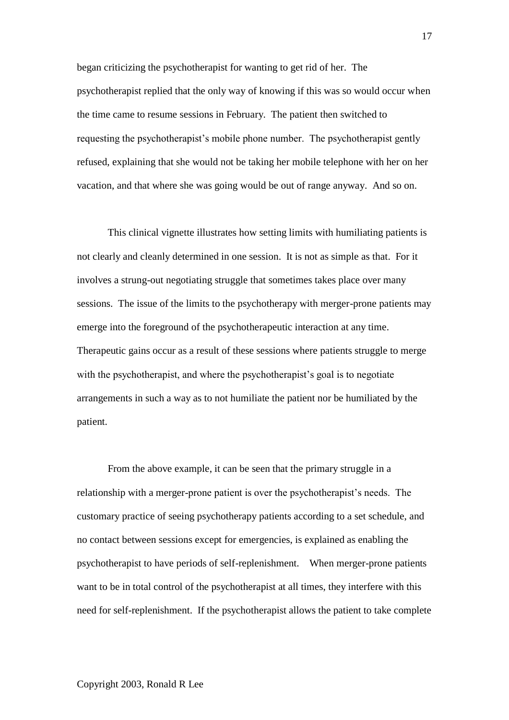began criticizing the psychotherapist for wanting to get rid of her. The psychotherapist replied that the only way of knowing if this was so would occur when the time came to resume sessions in February. The patient then switched to requesting the psychotherapist"s mobile phone number. The psychotherapist gently refused, explaining that she would not be taking her mobile telephone with her on her vacation, and that where she was going would be out of range anyway. And so on.

This clinical vignette illustrates how setting limits with humiliating patients is not clearly and cleanly determined in one session. It is not as simple as that. For it involves a strung-out negotiating struggle that sometimes takes place over many sessions. The issue of the limits to the psychotherapy with merger-prone patients may emerge into the foreground of the psychotherapeutic interaction at any time. Therapeutic gains occur as a result of these sessions where patients struggle to merge with the psychotherapist, and where the psychotherapist's goal is to negotiate arrangements in such a way as to not humiliate the patient nor be humiliated by the patient.

From the above example, it can be seen that the primary struggle in a relationship with a merger-prone patient is over the psychotherapist's needs. The customary practice of seeing psychotherapy patients according to a set schedule, and no contact between sessions except for emergencies, is explained as enabling the psychotherapist to have periods of self-replenishment. When merger-prone patients want to be in total control of the psychotherapist at all times, they interfere with this need for self-replenishment. If the psychotherapist allows the patient to take complete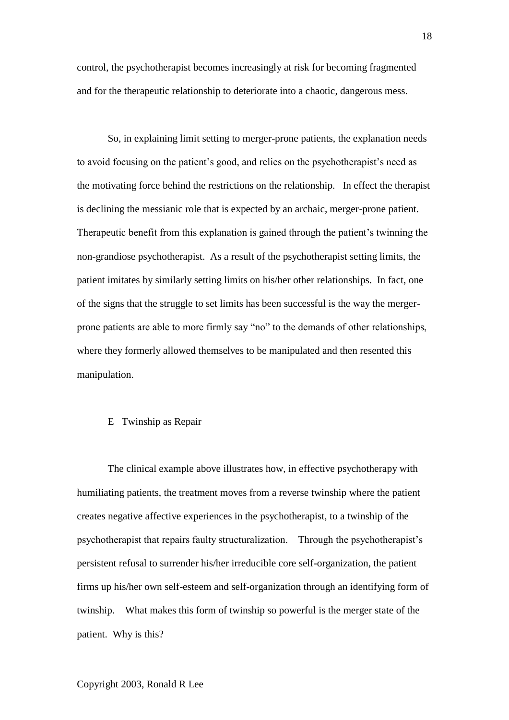control, the psychotherapist becomes increasingly at risk for becoming fragmented and for the therapeutic relationship to deteriorate into a chaotic, dangerous mess.

So, in explaining limit setting to merger-prone patients, the explanation needs to avoid focusing on the patient's good, and relies on the psychotherapist's need as the motivating force behind the restrictions on the relationship. In effect the therapist is declining the messianic role that is expected by an archaic, merger-prone patient. Therapeutic benefit from this explanation is gained through the patient's twinning the non-grandiose psychotherapist. As a result of the psychotherapist setting limits, the patient imitates by similarly setting limits on his/her other relationships. In fact, one of the signs that the struggle to set limits has been successful is the way the mergerprone patients are able to more firmly say "no" to the demands of other relationships, where they formerly allowed themselves to be manipulated and then resented this manipulation.

## E Twinship as Repair

The clinical example above illustrates how, in effective psychotherapy with humiliating patients, the treatment moves from a reverse twinship where the patient creates negative affective experiences in the psychotherapist, to a twinship of the psychotherapist that repairs faulty structuralization. Through the psychotherapist"s persistent refusal to surrender his/her irreducible core self-organization, the patient firms up his/her own self-esteem and self-organization through an identifying form of twinship. What makes this form of twinship so powerful is the merger state of the patient. Why is this?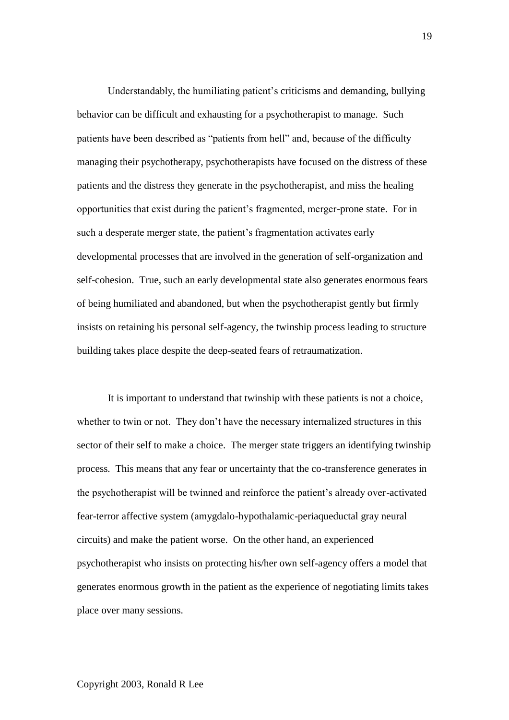Understandably, the humiliating patient"s criticisms and demanding, bullying behavior can be difficult and exhausting for a psychotherapist to manage. Such patients have been described as "patients from hell" and, because of the difficulty managing their psychotherapy, psychotherapists have focused on the distress of these patients and the distress they generate in the psychotherapist, and miss the healing opportunities that exist during the patient"s fragmented, merger-prone state. For in such a desperate merger state, the patient's fragmentation activates early developmental processes that are involved in the generation of self-organization and self-cohesion. True, such an early developmental state also generates enormous fears of being humiliated and abandoned, but when the psychotherapist gently but firmly insists on retaining his personal self-agency, the twinship process leading to structure building takes place despite the deep-seated fears of retraumatization.

It is important to understand that twinship with these patients is not a choice, whether to twin or not. They don't have the necessary internalized structures in this sector of their self to make a choice. The merger state triggers an identifying twinship process. This means that any fear or uncertainty that the co-transference generates in the psychotherapist will be twinned and reinforce the patient"s already over-activated fear-terror affective system (amygdalo-hypothalamic-periaqueductal gray neural circuits) and make the patient worse. On the other hand, an experienced psychotherapist who insists on protecting his/her own self-agency offers a model that generates enormous growth in the patient as the experience of negotiating limits takes place over many sessions.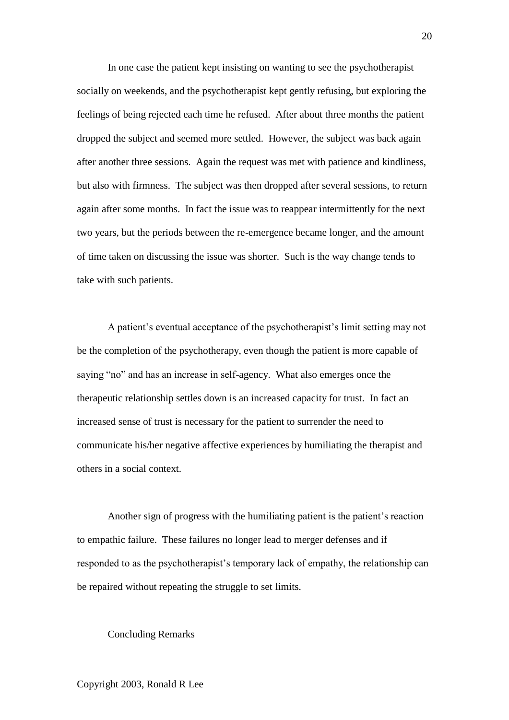In one case the patient kept insisting on wanting to see the psychotherapist socially on weekends, and the psychotherapist kept gently refusing, but exploring the feelings of being rejected each time he refused. After about three months the patient dropped the subject and seemed more settled. However, the subject was back again after another three sessions. Again the request was met with patience and kindliness, but also with firmness. The subject was then dropped after several sessions, to return again after some months. In fact the issue was to reappear intermittently for the next two years, but the periods between the re-emergence became longer, and the amount of time taken on discussing the issue was shorter. Such is the way change tends to take with such patients.

A patient's eventual acceptance of the psychotherapist's limit setting may not be the completion of the psychotherapy, even though the patient is more capable of saying "no" and has an increase in self-agency. What also emerges once the therapeutic relationship settles down is an increased capacity for trust. In fact an increased sense of trust is necessary for the patient to surrender the need to communicate his/her negative affective experiences by humiliating the therapist and others in a social context.

Another sign of progress with the humiliating patient is the patient"s reaction to empathic failure. These failures no longer lead to merger defenses and if responded to as the psychotherapist's temporary lack of empathy, the relationship can be repaired without repeating the struggle to set limits.

## Concluding Remarks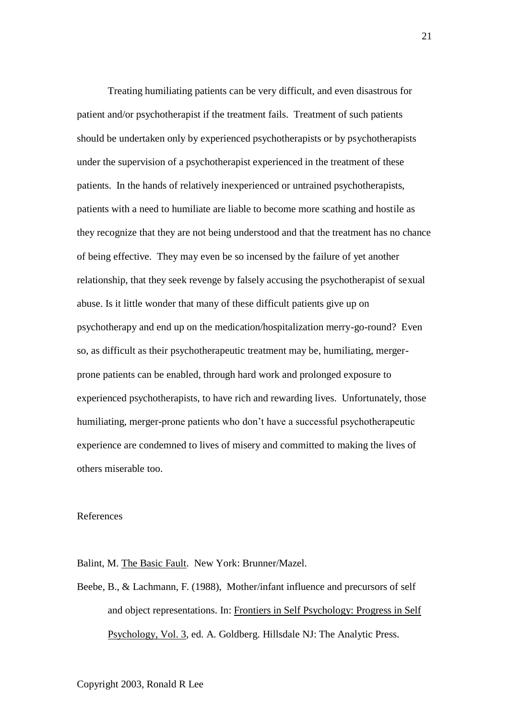Treating humiliating patients can be very difficult, and even disastrous for patient and/or psychotherapist if the treatment fails. Treatment of such patients should be undertaken only by experienced psychotherapists or by psychotherapists under the supervision of a psychotherapist experienced in the treatment of these patients. In the hands of relatively inexperienced or untrained psychotherapists, patients with a need to humiliate are liable to become more scathing and hostile as they recognize that they are not being understood and that the treatment has no chance of being effective. They may even be so incensed by the failure of yet another relationship, that they seek revenge by falsely accusing the psychotherapist of sexual abuse. Is it little wonder that many of these difficult patients give up on psychotherapy and end up on the medication/hospitalization merry-go-round? Even so, as difficult as their psychotherapeutic treatment may be, humiliating, mergerprone patients can be enabled, through hard work and prolonged exposure to experienced psychotherapists, to have rich and rewarding lives. Unfortunately, those humiliating, merger-prone patients who don"t have a successful psychotherapeutic experience are condemned to lives of misery and committed to making the lives of others miserable too.

### References

Balint, M. The Basic Fault. New York: Brunner/Mazel.

Beebe, B., & Lachmann, F. (1988), Mother/infant influence and precursors of self and object representations. In: Frontiers in Self Psychology: Progress in Self Psychology, Vol. 3, ed. A. Goldberg. Hillsdale NJ: The Analytic Press.